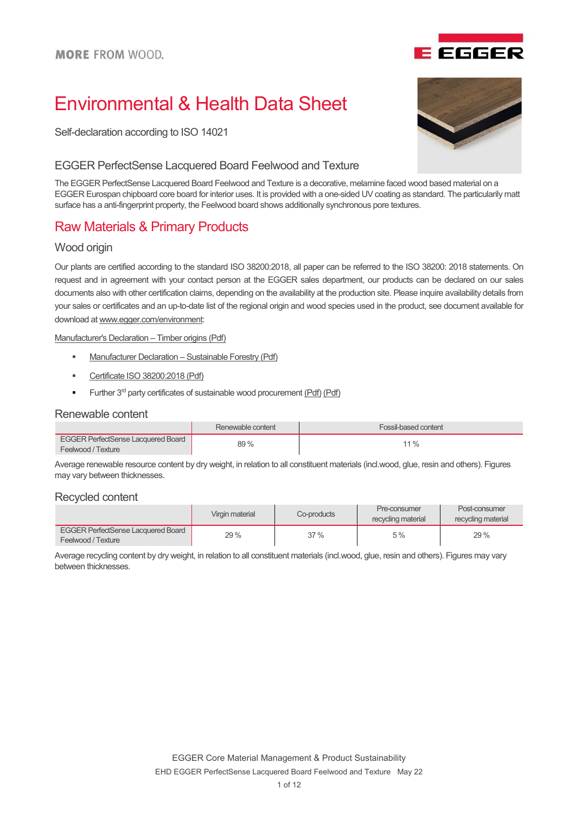

# Environmental & Health Data Sheet

Self-declaration according to ISO 14021

#### EGGER PerfectSense Lacquered Board Feelwood and Texture

The EGGER PerfectSense Lacquered Board Feelwood and Texture is a decorative, melamine faced wood based material on a EGGER Eurospan chipboard core board for interior uses. It is provided with a one-sided UV coating as standard. The particularily matt surface has a anti-fingerprint property, the Feelwood board shows additionally synchronous pore textures.

## Raw Materials & Primary Products

### Wood origin

Our plants are certified according to the standard ISO 38200:2018, all paper can be referred to the ISO 38200: 2018 statements. On request and in agreement with your contact person at the EGGER sales department, our products can be declared on our sales documents also with other certification claims, depending on the availability at the production site. Please inquire availability details from your sales or certificates and an up-to-date list of the regional origin and wood species used in the product, see document available for download at www.egger.com/environment:

Manufacturer's Declaration – Timber origins (Pdf)

- **Manufacturer Declaration Sustainable Forestry (Pdf)**
- Certificate ISO 38200:2018 (Pdf)
- Further  $3^{rd}$  party certificates of sustainable wood procurement ( $Pdf$ ) ( $Pdf$ )

#### Renewable content

|                                           | Renewable content | Fossil-based content |
|-------------------------------------------|-------------------|----------------------|
| <b>EGGER PerfectSense Lacquered Board</b> | 89%               | $11\%$               |
| Feelwood / Texture                        |                   |                      |

Average renewable resource content by dry weight, in relation to all constituent materials (incl.wood, glue, resin and others). Figures may vary between thicknesses.

### Recycled content

|                                                                 | Virgin material | Co-products | Pre-consumer<br>recycling material | Post-consumer<br>recycling material |
|-----------------------------------------------------------------|-----------------|-------------|------------------------------------|-------------------------------------|
| <b>EGGER PerfectSense Lacquered Board</b><br>Feelwood / Texture | 29 %            | 37%         | 5 %                                | 29%                                 |

Average recycling content by dry weight, in relation to all constituent materials (incl.wood, glue, resin and others). Figures may vary between thicknesses.

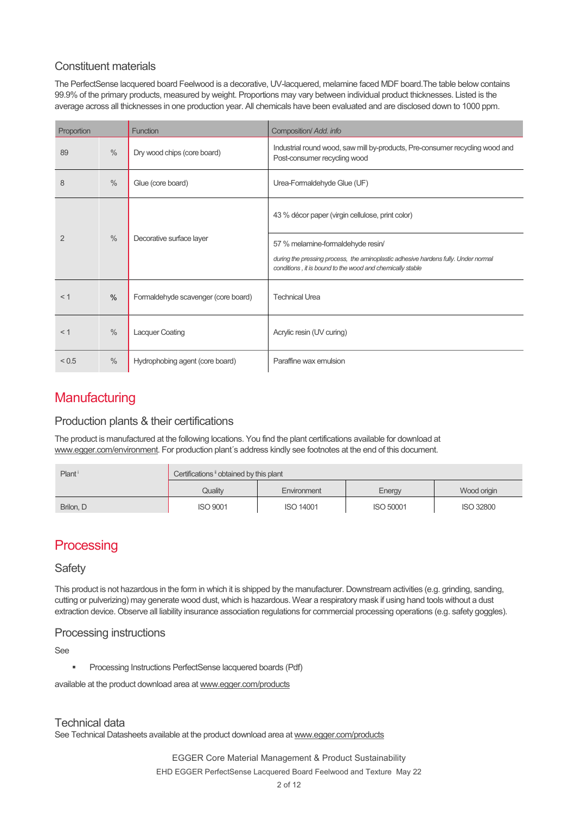### Constituent materials

The PerfectSense lacquered board Feelwood is a decorative, UV-lacquered, melamine faced MDF board.The table below contains 99.9% of the primary products, measured by weight. Proportions may vary between individual product thicknesses. Listed is the average across all thicknesses in one production year. All chemicals have been evaluated and are disclosed down to 1000 ppm.

| Proportion     |                                           | <b>Function</b>                     | Composition/ Add. info                                                                                                                          |
|----------------|-------------------------------------------|-------------------------------------|-------------------------------------------------------------------------------------------------------------------------------------------------|
| 89             | $\frac{0}{0}$                             | Dry wood chips (core board)         | Industrial round wood, saw mill by-products, Pre-consumer recycling wood and<br>Post-consumer recycling wood                                    |
| 8              | $\frac{0}{0}$                             | Glue (core board)                   | Urea-Formaldehyde Glue (UF)                                                                                                                     |
|                |                                           |                                     | 43 % décor paper (virgin cellulose, print color)                                                                                                |
| $\mathfrak{p}$ | $\frac{0}{0}$<br>Decorative surface layer | 57 % melamine-formaldehyde resin/   |                                                                                                                                                 |
|                |                                           |                                     | during the pressing process, the aminoplastic adhesive hardens fully. Under normal<br>conditions, it is bound to the wood and chemically stable |
| < 1            | $\frac{0}{0}$                             | Formaldehyde scavenger (core board) | <b>Technical Urea</b>                                                                                                                           |
| $<$ 1          | $\frac{0}{0}$                             | <b>Lacquer Coating</b>              | Acrylic resin (UV curing)                                                                                                                       |
| < 0.5          | $\%$                                      | Hydrophobing agent (core board)     | Paraffine wax emulsion                                                                                                                          |

## **Manufacturing**

### Production plants & their certifications

The product is manufactured at the following locations. You find the plant certifications available for download at www.egger.com/environment. For production plant´s address kindly see footnotes at the end of this document.

| Plant     | Certifications i obtained by this plant |                  |                  |                  |
|-----------|-----------------------------------------|------------------|------------------|------------------|
|           | Qualitv                                 | Environment      | Energy           | Wood origin      |
| Brilon, D | <b>ISO 9001</b>                         | <b>ISO 14001</b> | <b>ISO 50001</b> | <b>ISO 32800</b> |

# **Processing**

### **Safety**

This product is not hazardous in the form in which it is shipped by the manufacturer. Downstream activities (e.g. grinding, sanding, cutting or pulverizing) may generate wood dust, which is hazardous. Wear a respiratory mask if using hand tools without a dust extraction device. Observe all liability insurance association regulations for commercial processing operations (e.g. safety goggles).

### Processing instructions

#### See

Processing Instructions PerfectSense lacquered boards (Pdf)

available at the product download area at www.egger.com/products

### Technical data

See Technical Datasheets available at the product download area at www.egger.com/products

EGGER Core Material Management & Product Sustainability

EHD EGGER PerfectSense Lacquered Board Feelwood and Texture May 22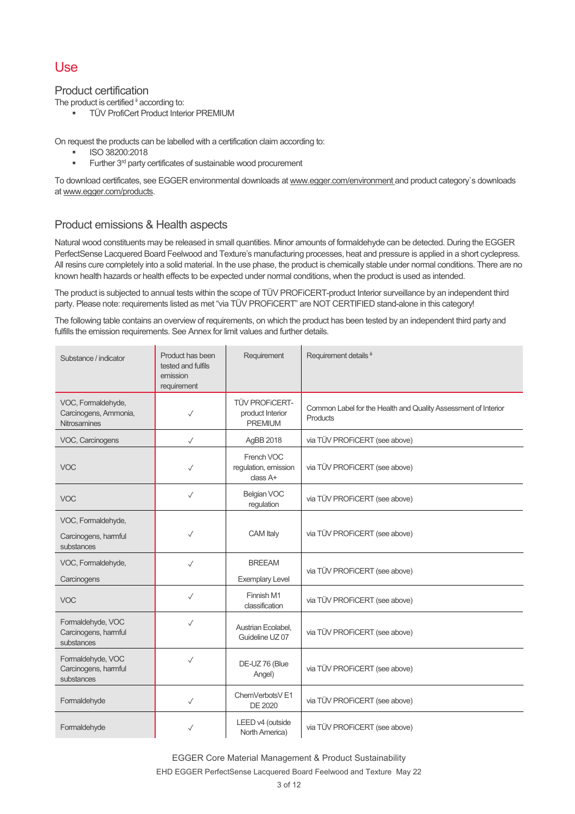### Use

#### Product certification

The product is certified <sup>ii</sup> according to:

**TÜV ProfiCert Product Interior PREMIUM** 

On request the products can be labelled with a certification claim according to:

- ISO 38200:2018
- Further 3rd party certificates of sustainable wood procurement

To download certificates, see EGGER environmental downloads at www.egger.com/environment and product category`s downloads at www.egger.com/products.

### Product emissions & Health aspects

Natural wood constituents may be released in small quantities. Minor amounts of formaldehyde can be detected. During the EGGER PerfectSense Lacquered Board Feelwood and Texture's manufacturing processes, heat and pressure is applied in a short cyclepress. All resins cure completely into a solid material. In the use phase, the product is chemically stable under normal conditions. There are no known health hazards or health effects to be expected under normal conditions, when the product is used as intended.

The product is subjected to annual tests within the scope of TÜV PROFiCERT-product Interior surveillance by an independent third party. Please note: requirements listed as met "via TÜV PROFiCERT" are NOT CERTIFIED stand-alone in this category!

The following table contains an overview of requirements, on which the product has been tested by an independent third party and fulfills the emission requirements. See Annex for limit values and further details.

| Substance / indicator                                              | Product has been<br>tested and fulfils<br>emission<br>requirement | Requirement                                                 | Requirement details ii                                                     |
|--------------------------------------------------------------------|-------------------------------------------------------------------|-------------------------------------------------------------|----------------------------------------------------------------------------|
| VOC, Formaldehyde,<br>Carcinogens, Ammonia,<br><b>Nitrosamines</b> | $\checkmark$                                                      | <b>TÜV PROFICERT-</b><br>product Interior<br><b>PREMIUM</b> | Common Label for the Health and Quality Assessment of Interior<br>Products |
| VOC, Carcinogens                                                   | $\checkmark$                                                      | AgBB 2018                                                   | via TÜV PROFICERT (see above)                                              |
| <b>VOC</b>                                                         | ✓                                                                 | French VOC<br>regulation, emission<br>class A+              | via TÜV PROFICERT (see above)                                              |
| <b>VOC</b>                                                         | $\checkmark$                                                      | Belgian VOC<br>regulation                                   | via TÜV PROFICERT (see above)                                              |
| VOC, Formaldehyde,<br>Carcinogens, harmful<br>substances           | $\checkmark$                                                      | CAM Italy                                                   | via TÜV PROFICERT (see above)                                              |
| VOC, Formaldehyde,<br>Carcinogens                                  | $\checkmark$                                                      | <b>BREEAM</b><br><b>Exemplary Level</b>                     | via TÜV PROFICERT (see above)                                              |
| <b>VOC</b>                                                         | $\checkmark$                                                      | Finnish M1<br>classification                                | via TÜV PROFICERT (see above)                                              |
| Formaldehyde, VOC<br>Carcinogens, harmful<br>substances            | $\checkmark$                                                      | Austrian Ecolabel,<br>Guideline UZ 07                       | via TÜV PROFICERT (see above)                                              |
| Formaldehyde, VOC<br>Carcinogens, harmful<br>substances            | $\checkmark$                                                      | DE-UZ 76 (Blue<br>Angel)                                    | via TÜV PROFICERT (see above)                                              |
| Formaldehyde                                                       | $\checkmark$                                                      | ChemVerbotsV E1<br>DE 2020                                  | via TÜV PROFiCERT (see above)                                              |
| Formaldehyde                                                       | ✓                                                                 | LEED v4 (outside<br>North America)                          | via TÜV PROFICERT (see above)                                              |

EGGER Core Material Management & Product Sustainability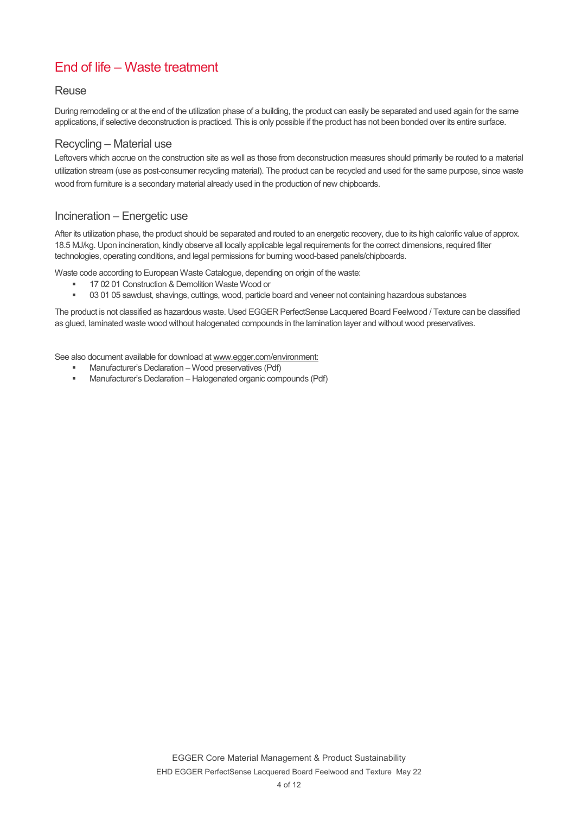# End of life – Waste treatment

#### **Reuse**

During remodeling or at the end of the utilization phase of a building, the product can easily be separated and used again for the same applications, if selective deconstruction is practiced. This is only possible if the product has not been bonded over its entire surface.

#### Recycling – Material use

Leftovers which accrue on the construction site as well as those from deconstruction measures should primarily be routed to a material utilization stream (use as post-consumer recycling material). The product can be recycled and used for the same purpose, since waste wood from furniture is a secondary material already used in the production of new chipboards.

### Incineration – Energetic use

After its utilization phase, the product should be separated and routed to an energetic recovery, due to its high calorific value of approx. 18.5 MJ/kg. Upon incineration, kindly observe all locally applicable legal requirements for the correct dimensions, required filter technologies, operating conditions, and legal permissions for burning wood-based panels/chipboards.

Waste code according to European Waste Catalogue, depending on origin of the waste:

- 17 02 01 Construction & Demolition Waste Wood or
- 03 01 05 sawdust, shavings, cuttings, wood, particle board and veneer not containing hazardous substances

The product is not classified as hazardous waste. Used EGGER PerfectSense Lacquered Board Feelwood / Texture can be classified as glued, laminated waste wood without halogenated compounds in the lamination layer and without wood preservatives.

See also document available for download at www.egger.com/environment:

- Manufacturer's Declaration Wood preservatives (Pdf)
- Manufacturer's Declaration Halogenated organic compounds (Pdf)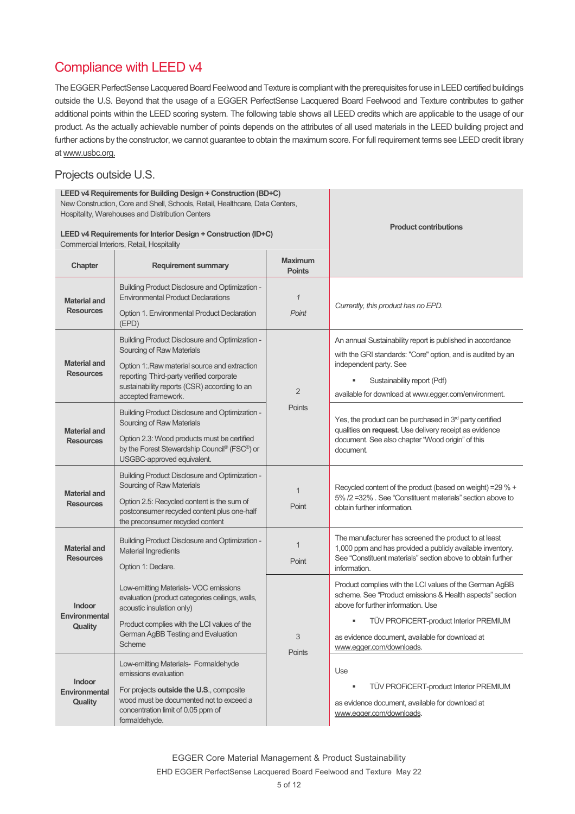# Compliance with LEED v4

The EGGER PerfectSense Lacquered Board Feelwood and Texture is compliant with the prerequisites for use in LEED certified buildings outside the U.S. Beyond that the usage of a EGGER PerfectSense Lacquered Board Feelwood and Texture contributes to gather additional points within the LEED scoring system. The following table shows all LEED credits which are applicable to the usage of our product. As the actually achievable number of points depends on the attributes of all used materials in the LEED building project and further actions by the constructor, we cannot guarantee to obtain the maximum score. For full requirement terms see LEED credit library at www.usbc.org.

### Projects outside U.S.

| LEED v4 Requirements for Building Design + Construction (BD+C)<br>New Construction, Core and Shell, Schools, Retail, Healthcare, Data Centers,<br>Hospitality, Warehouses and Distribution Centers<br>LEED v4 Requirements for Interior Design + Construction (ID+C)<br>Commercial Interiors, Retail, Hospitality |                                                                                                                                                                                                                                                                                      |                                 | <b>Product contributions</b>                                                                                                                                                                                                                                                              |
|-------------------------------------------------------------------------------------------------------------------------------------------------------------------------------------------------------------------------------------------------------------------------------------------------------------------|--------------------------------------------------------------------------------------------------------------------------------------------------------------------------------------------------------------------------------------------------------------------------------------|---------------------------------|-------------------------------------------------------------------------------------------------------------------------------------------------------------------------------------------------------------------------------------------------------------------------------------------|
| Chapter                                                                                                                                                                                                                                                                                                           | <b>Requirement summary</b>                                                                                                                                                                                                                                                           | <b>Maximum</b><br><b>Points</b> |                                                                                                                                                                                                                                                                                           |
| <b>Material and</b><br><b>Resources</b>                                                                                                                                                                                                                                                                           | <b>Building Product Disclosure and Optimization -</b><br><b>Environmental Product Declarations</b><br><b>Option 1. Environmental Product Declaration</b><br>(EPD)                                                                                                                    | 1<br>Point                      | Currently, this product has no EPD.                                                                                                                                                                                                                                                       |
| <b>Material and</b><br><b>Resources</b>                                                                                                                                                                                                                                                                           | <b>Building Product Disclosure and Optimization -</b><br>Sourcing of Raw Materials<br>Option 1: Raw material source and extraction<br>reporting Third-party verified corporate<br>sustainability reports (CSR) according to an<br>accepted framework.                                | $\overline{2}$                  | An annual Sustainability report is published in accordance<br>with the GRI standards: "Core" option, and is audited by an<br>independent party. See<br>Sustainability report (Pdf)<br>available for download at www.egger.com/environment.                                                |
| <b>Material and</b><br><b>Resources</b>                                                                                                                                                                                                                                                                           | <b>Building Product Disclosure and Optimization -</b><br>Sourcing of Raw Materials<br>Option 2.3: Wood products must be certified<br>by the Forest Stewardship Council® (FSC®) or<br>USGBC-approved equivalent.                                                                      | Points                          | Yes, the product can be purchased in 3rd party certified<br>qualities on request. Use delivery receipt as evidence<br>document. See also chapter "Wood origin" of this<br>document.                                                                                                       |
| <b>Material and</b><br><b>Resources</b>                                                                                                                                                                                                                                                                           | <b>Building Product Disclosure and Optimization -</b><br>Sourcing of Raw Materials<br>Option 2.5: Recycled content is the sum of<br>postconsumer recycled content plus one-half<br>the preconsumer recycled content                                                                  | $\mathbf 1$<br>Point            | Recycled content of the product (based on weight) = 29 % +<br>5% /2 =32% . See "Constituent materials" section above to<br>obtain further information.                                                                                                                                    |
| <b>Material and</b><br><b>Resources</b>                                                                                                                                                                                                                                                                           | <b>Building Product Disclosure and Optimization -</b><br><b>Material Ingredients</b><br>Option 1: Declare.                                                                                                                                                                           | $\mathbf 1$<br>Point            | The manufacturer has screened the product to at least<br>1,000 ppm and has provided a publicly available inventory.<br>See "Constituent materials" section above to obtain further<br>information.                                                                                        |
| <b>Indoor</b><br>Environmental<br><b>Quality</b>                                                                                                                                                                                                                                                                  | Low-emitting Materials- VOC emissions<br>evaluation (product categories ceilings, walls,<br>acoustic insulation only)<br>Product complies with the LCI values of the<br>German AgBB Testing and Evaluation<br>Scheme<br>Low-emitting Materials- Formaldehyde<br>emissions evaluation | 3<br>Points                     | Product complies with the LCI values of the German AgBB<br>scheme. See "Product emissions & Health aspects" section<br>above for further information. Use<br>TÜV PROFICERT-product Interior PREMIUM<br>as evidence document, available for download at<br>www.eqger.com/downloads.<br>Use |
| Indoor<br>Environmental<br>Quality                                                                                                                                                                                                                                                                                | For projects outside the U.S., composite<br>wood must be documented not to exceed a<br>concentration limit of 0.05 ppm of<br>formaldehyde.                                                                                                                                           |                                 | TÜV PROFICERT-product Interior PREMIUM<br>as evidence document, available for download at<br>www.egger.com/downloads.                                                                                                                                                                     |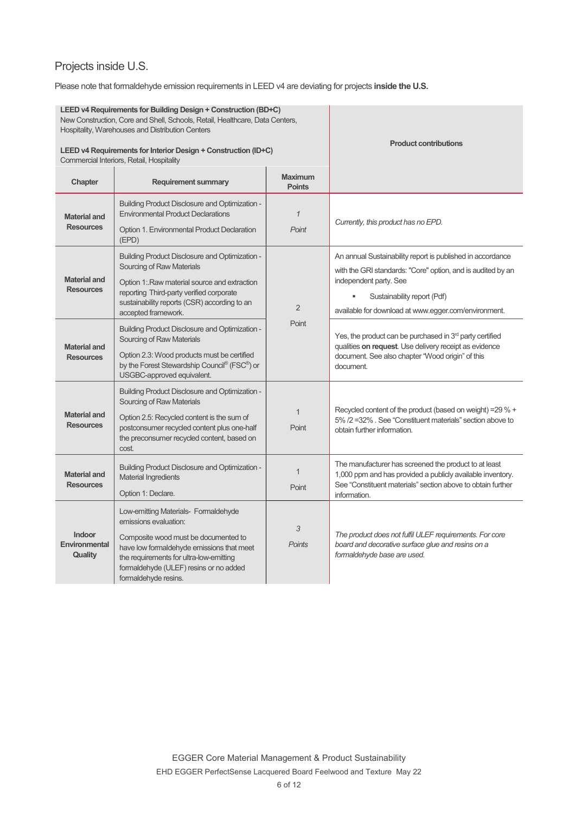## Projects inside U.S.

Please note that formaldehyde emission requirements in LEED v4 are deviating for projects **inside the U.S.**

| LEED v4 Requirements for Building Design + Construction (BD+C)<br>New Construction, Core and Shell, Schools, Retail, Healthcare, Data Centers,<br>Hospitality, Warehouses and Distribution Centers<br>LEED v4 Requirements for Interior Design + Construction (ID+C) |                                                                                                                                                                                                                                                                 |                                        | <b>Product contributions</b>                                                                                                                                                                                                               |
|----------------------------------------------------------------------------------------------------------------------------------------------------------------------------------------------------------------------------------------------------------------------|-----------------------------------------------------------------------------------------------------------------------------------------------------------------------------------------------------------------------------------------------------------------|----------------------------------------|--------------------------------------------------------------------------------------------------------------------------------------------------------------------------------------------------------------------------------------------|
| Chapter                                                                                                                                                                                                                                                              | Commercial Interiors, Retail, Hospitality<br><b>Requirement summary</b>                                                                                                                                                                                         | <b>Maximum</b>                         |                                                                                                                                                                                                                                            |
| <b>Material and</b><br><b>Resources</b>                                                                                                                                                                                                                              | <b>Building Product Disclosure and Optimization -</b><br><b>Environmental Product Declarations</b><br>Option 1. Environmental Product Declaration<br>(EPD)                                                                                                      | <b>Points</b><br>$\mathcal I$<br>Point | Currently, this product has no EPD.                                                                                                                                                                                                        |
| <b>Material and</b><br><b>Resources</b>                                                                                                                                                                                                                              | <b>Building Product Disclosure and Optimization -</b><br>Sourcing of Raw Materials<br>Option 1: Raw material source and extraction<br>reporting Third-party verified corporate<br>sustainability reports (CSR) according to an<br>accepted framework.           | $\overline{2}$                         | An annual Sustainability report is published in accordance<br>with the GRI standards: "Core" option, and is audited by an<br>independent party. See<br>Sustainability report (Pdf)<br>available for download at www.egger.com/environment. |
| <b>Material and</b><br><b>Resources</b>                                                                                                                                                                                                                              | <b>Building Product Disclosure and Optimization -</b><br>Sourcing of Raw Materials<br>Option 2.3: Wood products must be certified<br>by the Forest Stewardship Council® (FSC®) or<br>USGBC-approved equivalent.                                                 | Point                                  | Yes, the product can be purchased in 3 <sup>rd</sup> party certified<br>qualities on request. Use delivery receipt as evidence<br>document. See also chapter "Wood origin" of this<br>document.                                            |
| <b>Material and</b><br><b>Resources</b>                                                                                                                                                                                                                              | <b>Building Product Disclosure and Optimization -</b><br>Sourcing of Raw Materials<br>Option 2.5: Recycled content is the sum of<br>postconsumer recycled content plus one-half<br>the preconsumer recycled content, based on<br>cost.                          | $\overline{1}$<br>Point                | Recycled content of the product (based on weight) = 29 % +<br>5% /2 = 32% . See "Constituent materials" section above to<br>obtain further information.                                                                                    |
| <b>Material and</b><br><b>Resources</b>                                                                                                                                                                                                                              | <b>Building Product Disclosure and Optimization -</b><br><b>Material Ingredients</b><br>Option 1: Declare.                                                                                                                                                      | $\overline{1}$<br>Point                | The manufacturer has screened the product to at least<br>1,000 ppm and has provided a publicly available inventory.<br>See "Constituent materials" section above to obtain further<br>information.                                         |
| Indoor<br>Environmental<br>Quality                                                                                                                                                                                                                                   | Low-emitting Materials- Formaldehyde<br>emissions evaluation:<br>Composite wood must be documented to<br>have low formaldehyde emissions that meet<br>the requirements for ultra-low-emitting<br>formaldehyde (ULEF) resins or no added<br>formaldehyde resins. | 3<br><b>Points</b>                     | The product does not fulfil ULEF requirements. For core<br>board and decorative surface glue and resins on a<br>formaldehyde base are used.                                                                                                |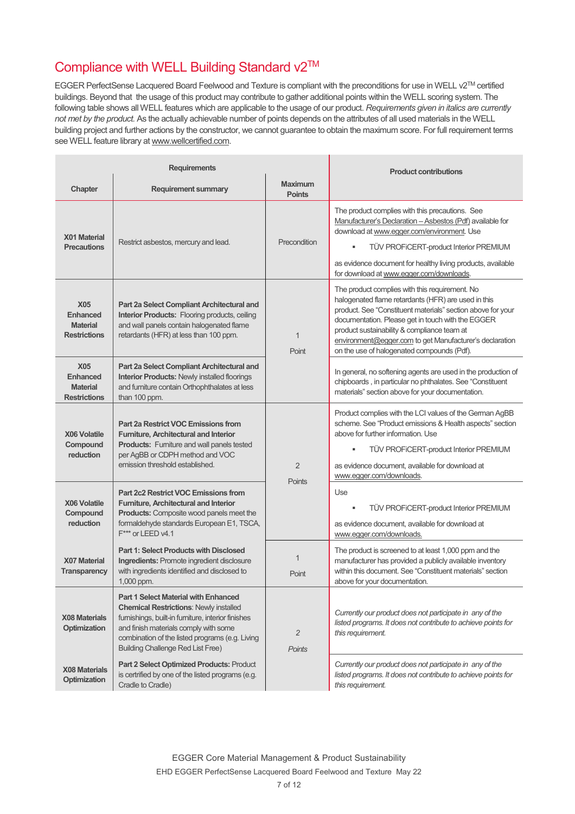# Compliance with WELL Building Standard v2™

EGGER PerfectSense Lacquered Board Feelwood and Texture is compliant with the preconditions for use in WELL v2TM certified buildings. Beyond that the usage of this product may contribute to gather additional points within the WELL scoring system. The following table shows all WELL features which are applicable to the usage of our product. *Requirements given in italics are currently not met by the product.* As the actually achievable number of points depends on the attributes of all used materials in the WELL building project and further actions by the constructor, we cannot guarantee to obtain the maximum score. For full requirement terms see WELL feature library at www.wellcertified.com.

| <b>Requirements</b>                                                     |                                                                                                                                                                                                                                                                                            | <b>Product contributions</b>    |                                                                                                                                                                                                                                                                                                                                                                                   |
|-------------------------------------------------------------------------|--------------------------------------------------------------------------------------------------------------------------------------------------------------------------------------------------------------------------------------------------------------------------------------------|---------------------------------|-----------------------------------------------------------------------------------------------------------------------------------------------------------------------------------------------------------------------------------------------------------------------------------------------------------------------------------------------------------------------------------|
| Chapter                                                                 | <b>Requirement summary</b>                                                                                                                                                                                                                                                                 | <b>Maximum</b><br><b>Points</b> |                                                                                                                                                                                                                                                                                                                                                                                   |
| X01 Material<br><b>Precautions</b>                                      | Restrict asbestos, mercury and lead.                                                                                                                                                                                                                                                       | Precondition                    | The product complies with this precautions. See<br>Manufacturer's Declaration - Asbestos (Pdf) available for<br>download at www.egger.com/environment. Use<br>TÜV PROFICERT-product Interior PREMIUM<br>as evidence document for healthy living products, available<br>for download at www.eqger.com/downloads.                                                                   |
| <b>X05</b><br><b>Enhanced</b><br><b>Material</b><br><b>Restrictions</b> | Part 2a Select Compliant Architectural and<br><b>Interior Products:</b> Flooring products, ceiling<br>and wall panels contain halogenated flame<br>retardants (HFR) at less than 100 ppm.                                                                                                  | $\mathbf 1$<br>Point            | The product complies with this requirement. No<br>halogenated flame retardants (HFR) are used in this<br>product. See "Constituent materials" section above for your<br>documentation. Please get in touch with the EGGER<br>product sustainability & compliance team at<br>environment@egger.com to get Manufacturer's declaration<br>on the use of halogenated compounds (Pdf). |
| <b>X05</b><br><b>Enhanced</b><br><b>Material</b><br><b>Restrictions</b> | Part 2a Select Compliant Architectural and<br><b>Interior Products: Newly installed floorings</b><br>and furniture contain Orthophthalates at less<br>than 100 ppm.                                                                                                                        |                                 | In general, no softening agents are used in the production of<br>chipboards, in particular no phthalates. See "Constituent<br>materials" section above for your documentation.                                                                                                                                                                                                    |
| X06 Volatile<br>Compound<br>reduction                                   | Part 2a Restrict VOC Emissions from<br>Furniture, Architectural and Interior<br><b>Products:</b> Furniture and wall panels tested<br>per AgBB or CDPH method and VOC<br>emission threshold established.                                                                                    | $\overline{2}$                  | Product complies with the LCI values of the German AgBB<br>scheme. See "Product emissions & Health aspects" section<br>above for further information. Use<br><b>TUV PROFICERT-product Interior PREMIUM</b><br>as evidence document, available for download at<br>www.egger.com/downloads.                                                                                         |
| <b>X06 Volatile</b><br>Compound<br>reduction                            | <b>Part 2c2 Restrict VOC Emissions from</b><br>Furniture, Architectural and Interior<br><b>Products:</b> Composite wood panels meet the<br>formaldehyde standards European E1, TSCA,<br>F*** or LEED v4.1                                                                                  | Points                          | Use<br>TÜV PROFICERT-product Interior PREMIUM<br>as evidence document, available for download at<br>www.egger.com/downloads.                                                                                                                                                                                                                                                      |
| X07 Material<br><b>Transparency</b>                                     | <b>Part 1: Select Products with Disclosed</b><br>Ingredients: Promote ingredient disclosure<br>with ingredients identified and disclosed to<br>1,000 ppm.                                                                                                                                  | 1<br>Point                      | The product is screened to at least 1,000 ppm and the<br>manufacturer has provided a publicly available inventory<br>within this document. See "Constituent materials" section<br>above for your documentation.                                                                                                                                                                   |
| <b>X08 Materials</b><br><b>Optimization</b>                             | <b>Part 1 Select Material with Enhanced</b><br><b>Chemical Restrictions: Newly installed</b><br>furnishings, built-in furniture, interior finishes<br>and finish materials comply with some<br>combination of the listed programs (e.g. Living<br><b>Building Challenge Red List Free)</b> | $\overline{2}$<br><b>Points</b> | Currently our product does not participate in any of the<br>listed programs. It does not contribute to achieve points for<br>this requirement.                                                                                                                                                                                                                                    |
| <b>X08 Materials</b><br>Optimization                                    | Part 2 Select Optimized Products: Product<br>is certrified by one of the listed programs (e.g.<br>Cradle to Cradle)                                                                                                                                                                        |                                 | Currently our product does not participate in any of the<br>listed programs. It does not contribute to achieve points for<br>this requirement.                                                                                                                                                                                                                                    |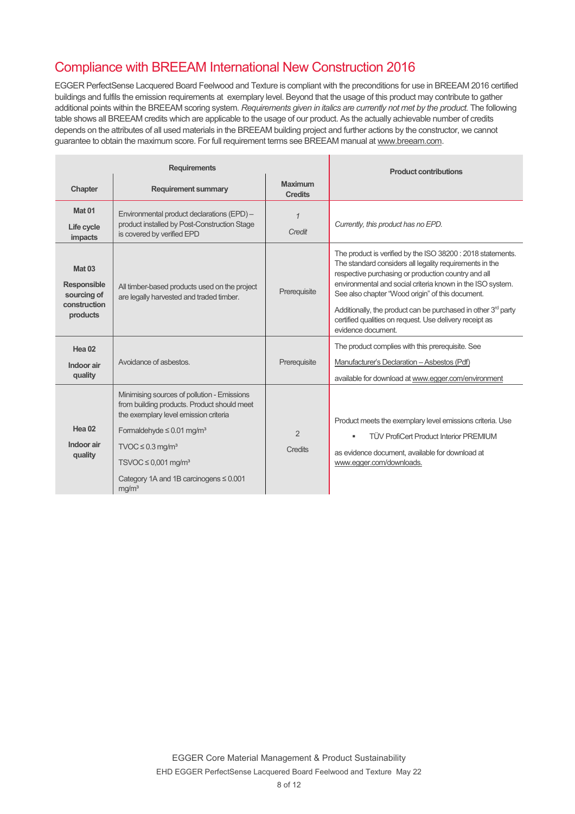# Compliance with BREEAM International New Construction 2016

EGGER PerfectSense Lacquered Board Feelwood and Texture is compliant with the preconditions for use in BREEAM 2016 certified buildings and fulfils the emission requirements at exemplary level. Beyond that the usage of this product may contribute to gather additional points within the BREEAM scoring system. *Requirements given in italics are currently not met by the product.* The following table shows all BREEAM credits which are applicable to the usage of our product. As the actually achievable number of credits depends on the attributes of all used materials in the BREEAM building project and further actions by the constructor, we cannot guarantee to obtain the maximum score. For full requirement terms see BREEAM manual at www.breeam.com.

| <b>Requirements</b>                                                            |                                                                                                                                                                                                                                                                                                                                    | <b>Product contributions</b>     |                                                                                                                                                                                                                                                                                                                                                                                                                                                    |
|--------------------------------------------------------------------------------|------------------------------------------------------------------------------------------------------------------------------------------------------------------------------------------------------------------------------------------------------------------------------------------------------------------------------------|----------------------------------|----------------------------------------------------------------------------------------------------------------------------------------------------------------------------------------------------------------------------------------------------------------------------------------------------------------------------------------------------------------------------------------------------------------------------------------------------|
| Chapter                                                                        | <b>Requirement summary</b>                                                                                                                                                                                                                                                                                                         | <b>Maximum</b><br><b>Credits</b> |                                                                                                                                                                                                                                                                                                                                                                                                                                                    |
| Mat <sub>01</sub><br>Life cycle<br>impacts                                     | Environmental product declarations (EPD) -<br>product installed by Post-Construction Stage<br>is covered by verified EPD                                                                                                                                                                                                           | $\mathcal I$<br>Credit           | Currently, this product has no EPD.                                                                                                                                                                                                                                                                                                                                                                                                                |
| <b>Mat 03</b><br><b>Responsible</b><br>sourcing of<br>construction<br>products | All timber-based products used on the project<br>are legally harvested and traded timber.                                                                                                                                                                                                                                          | Prerequisite                     | The product is verified by the ISO 38200 : 2018 statements.<br>The standard considers all legality requirements in the<br>respective purchasing or production country and all<br>environmental and social criteria known in the ISO system.<br>See also chapter "Wood origin" of this document.<br>Additionally, the product can be purchased in other $3rd$ party<br>certified qualities on request. Use delivery receipt as<br>evidence document |
| Hea <sub>02</sub><br>Indoor air<br>quality                                     | Avoidance of asbestos.                                                                                                                                                                                                                                                                                                             | Prerequisite                     | The product complies with this prerequisite. See<br>Manufacturer's Declaration - Asbestos (Pdf)<br>available for download at www.egger.com/environment                                                                                                                                                                                                                                                                                             |
| Hea 02<br>Indoor air<br>quality                                                | Minimising sources of pollution - Emissions<br>from building products. Product should meet<br>the exemplary level emission criteria<br>Formaldehyde $\leq 0.01$ mg/m <sup>3</sup><br>$TVOC \leq 0.3$ mg/m <sup>3</sup><br>$TSVOC \leq 0,001$ mg/m <sup>3</sup><br>Category 1A and 1B carcinogens $\leq 0.001$<br>mq/m <sup>3</sup> | $\overline{2}$<br>Credits        | Product meets the exemplary level emissions criteria. Use<br><b>TÜV ProfiCert Product Interior PREMIUM</b><br>as evidence document, available for download at<br>www.egger.com/downloads.                                                                                                                                                                                                                                                          |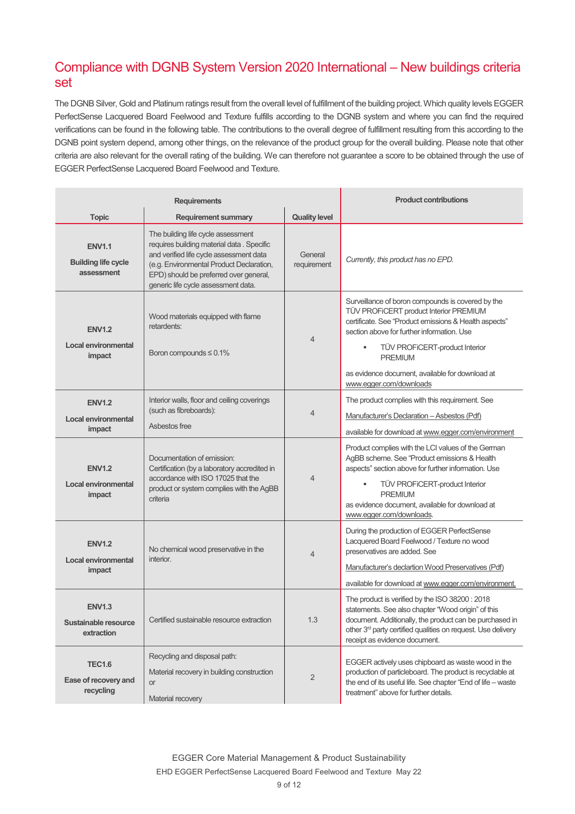## Compliance with DGNB System Version 2020 International – New buildings criteria set

The DGNB Silver, Gold and Platinum ratings result from the overall level of fulfillment of the building project. Which quality levels EGGER PerfectSense Lacquered Board Feelwood and Texture fulfills according to the DGNB system and where you can find the required verifications can be found in the following table. The contributions to the overall degree of fulfillment resulting from this according to the DGNB point system depend, among other things, on the relevance of the product group for the overall building. Please note that other criteria are also relevant for the overall rating of the building. We can therefore not guarantee a score to be obtained through the use of EGGER PerfectSense Lacquered Board Feelwood and Texture.

| <b>Requirements</b>                                       |                                                                                                                                                                                                                                                          | <b>Product contributions</b> |                                                                                                                                                                                                                                                                                                                                           |
|-----------------------------------------------------------|----------------------------------------------------------------------------------------------------------------------------------------------------------------------------------------------------------------------------------------------------------|------------------------------|-------------------------------------------------------------------------------------------------------------------------------------------------------------------------------------------------------------------------------------------------------------------------------------------------------------------------------------------|
| <b>Topic</b>                                              | <b>Requirement summary</b>                                                                                                                                                                                                                               | <b>Quality level</b>         |                                                                                                                                                                                                                                                                                                                                           |
| <b>ENV1.1</b><br><b>Building life cycle</b><br>assessment | The building life cycle assessment<br>requires building material data . Specific<br>and verified life cycle assessment data<br>(e.g. Environmental Product Declaration,<br>EPD) should be preferred over general,<br>generic life cycle assessment data. | General<br>requirement       | Currently, this product has no EPD.                                                                                                                                                                                                                                                                                                       |
| <b>ENV1.2</b><br><b>Local environmental</b><br>impact     | Wood materials equipped with flame<br>retardents:<br>Boron compounds $\leq 0.1\%$                                                                                                                                                                        | $\overline{4}$               | Surveillance of boron compounds is covered by the<br>TÜV PROFICERT product Interior PREMIUM<br>certificate. See "Product emissions & Health aspects"<br>section above for further information. Use<br>TÜV PROFICERT-product Interior<br>٠<br><b>PREMIUM</b><br>as evidence document, available for download at<br>www.egger.com/downloads |
| <b>ENV1.2</b><br>Local environmental<br>impact            | Interior walls, floor and ceiling coverings<br>(such as fibreboards):<br>Ashestos free                                                                                                                                                                   | $\overline{4}$               | The product complies with this requirement. See<br>Manufacturer's Declaration - Asbestos (Pdf)<br>available for download at www.egger.com/environment                                                                                                                                                                                     |
| <b>ENV1.2</b><br><b>Local environmental</b><br>impact     | Documentation of emission:<br>Certification (by a laboratory accredited in<br>accordance with ISO 17025 that the<br>product or system complies with the AgBB<br>criteria                                                                                 | 4                            | Product complies with the LCI values of the German<br>AgBB scheme. See "Product emissions & Health<br>aspects" section above for further information. Use<br>TÜV PROFICERT-product Interior<br><b>PREMIUM</b><br>as evidence document, available for download at<br>www.egger.com/downloads.                                              |
| <b>ENV1.2</b><br>Local environmental<br>impact            | No chemical wood preservative in the<br>interior.                                                                                                                                                                                                        | $\overline{4}$               | During the production of EGGER PerfectSense<br>Lacquered Board Feelwood / Texture no wood<br>preservatives are added. See<br>Manufacturer's declartion Wood Preservatives (Pdf)<br>available for download at www.egger.com/environment.                                                                                                   |
| <b>ENV1.3</b><br>Sustainable resource<br>extraction       | Certified sustainable resource extraction                                                                                                                                                                                                                | 1.3                          | The product is verified by the ISO 38200: 2018<br>statements. See also chapter "Wood origin" of this<br>document. Additionally, the product can be purchased in<br>other 3 <sup>rd</sup> party certified qualities on request. Use delivery<br>receipt as evidence document.                                                              |
| <b>TEC1.6</b><br>Ease of recovery and<br>recycling        | Recycling and disposal path:<br>Material recovery in building construction<br><b>or</b><br>Material recovery                                                                                                                                             | $\overline{2}$               | EGGER actively uses chipboard as waste wood in the<br>production of particleboard. The product is recyclable at<br>the end of its useful life. See chapter "End of life - waste<br>treatment" above for further details.                                                                                                                  |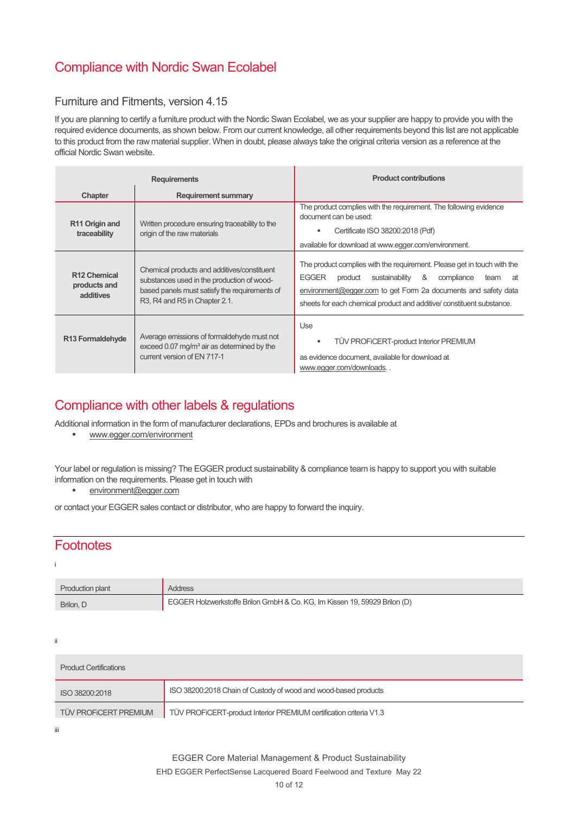# Compliance with Nordic Swan Ecolabel

### Furniture and Fitments, version 4.15

If you are planning to certify a furniture product with the Nordic Swan Ecolabel, we as your supplier are happy to provide you with the required evidence documents, as shown below. From our current knowledge, all other requirements beyond this list are not applicable to this product from the raw material supplier. When in doubt, please always take the original criteria version as a reference at the official Nordic Swan website.

| <b>Requirements</b>                                   |                                                                                                                                                                             | <b>Product contributions</b>                                                                                                                                                                                                                                                                     |
|-------------------------------------------------------|-----------------------------------------------------------------------------------------------------------------------------------------------------------------------------|--------------------------------------------------------------------------------------------------------------------------------------------------------------------------------------------------------------------------------------------------------------------------------------------------|
| Chapter                                               | <b>Requirement summary</b>                                                                                                                                                  |                                                                                                                                                                                                                                                                                                  |
| R <sub>11</sub> Origin and<br>traceability            | Written procedure ensuring traceability to the<br>origin of the raw materials                                                                                               | The product complies with the requirement. The following evidence<br>document can be used:<br>Certificate ISO 38200:2018 (Pdf)<br>available for download at www.egger.com/environment.                                                                                                           |
| R <sub>12</sub> Chemical<br>products and<br>additives | Chemical products and additives/constituent<br>substances used in the production of wood-<br>based panels must satisfy the requirements of<br>R3, R4 and R5 in Chapter 2.1. | The product complies with the requirement. Please get in touch with the<br>&<br><b>EGGER</b><br>sustainability<br>product<br>compliance<br>team<br>at<br>environment@egger.com to get Form 2a documents and safety data<br>sheets for each chemical product and additive/ constituent substance. |
| R <sub>13</sub> Formaldehyde                          | Average emissions of formaldehyde must not<br>exceed 0.07 mg/m <sup>3</sup> air as determined by the<br>current version of EN 717-1                                         | Use<br>TÜV PROFICERT-product Interior PREMIUM<br>as evidence document, available for download at<br>www.egger.com/downloads                                                                                                                                                                      |

### Compliance with other labels & regulations

Additional information in the form of manufacturer declarations, EPDs and brochures is available at

www.egger.com/environment

Your label or regulation is missing? The EGGER product sustainability & compliance team is happy to support you with suitable information on the requirements. Please get in touch with

**environment@egger.com** 

or contact your EGGER sales contact or distributor, who are happy to forward the inquiry.

### **Footnotes**

i

| <b>Production plant</b> | <b>Address</b>                                                            |
|-------------------------|---------------------------------------------------------------------------|
| Brilon, D               | EGGER Holzwerkstoffe Brilon GmbH & Co. KG, Im Kissen 19, 59929 Brilon (D) |

ii

| <b>Product Certifications</b> |                                                                    |  |  |  |  |
|-------------------------------|--------------------------------------------------------------------|--|--|--|--|
| ISO 38200:2018                | ISO 38200:2018 Chain of Custody of wood and wood-based products    |  |  |  |  |
| <b>TÜV PROFICERT PREMIUM</b>  | TÜV PROFICERT-product Interior PREMIUM certification criteria V1.3 |  |  |  |  |

iii

EHD EGGER PerfectSense Lacquered Board Feelwood and Texture May 22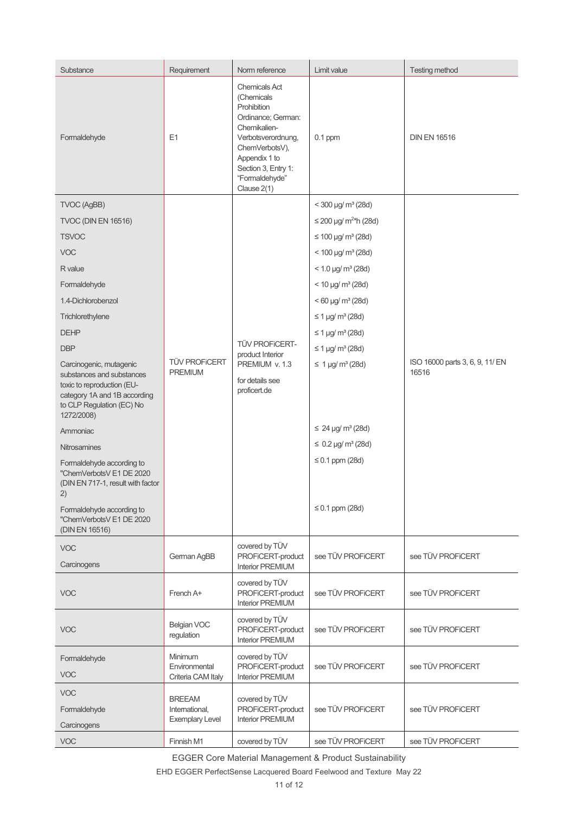| Substance                                                                                                                          | Requirement                                               | Norm reference                                                                                                                                                                                           | Limit value                         | <b>Testing method</b>                    |
|------------------------------------------------------------------------------------------------------------------------------------|-----------------------------------------------------------|----------------------------------------------------------------------------------------------------------------------------------------------------------------------------------------------------------|-------------------------------------|------------------------------------------|
| Formaldehyde                                                                                                                       | E <sub>1</sub>                                            | <b>Chemicals Act</b><br>(Chemicals<br>Prohibition<br>Ordinance; German:<br>Chemikalien-<br>Verbotsverordnung,<br>ChemVerbotsV),<br>Appendix 1 to<br>Section 3, Entry 1:<br>"Formaldehyde"<br>Clause 2(1) | $0.1$ ppm                           | <b>DIN EN 16516</b>                      |
| TVOC (AgBB)                                                                                                                        |                                                           |                                                                                                                                                                                                          | $<$ 300 µg/ m <sup>3</sup> (28d)    |                                          |
| <b>TVOC (DIN EN 16516)</b>                                                                                                         |                                                           |                                                                                                                                                                                                          | $≤$ 200 µg/ m <sup>2*</sup> h (28d) | ISO 16000 parts 3, 6, 9, 11/ EN<br>16516 |
| <b>TSVOC</b>                                                                                                                       |                                                           |                                                                                                                                                                                                          | $\leq 100 \,\mu g/m^3 (28d)$        |                                          |
| <b>VOC</b>                                                                                                                         |                                                           |                                                                                                                                                                                                          | $<$ 100 µg/ m <sup>3</sup> (28d)    |                                          |
| R value                                                                                                                            |                                                           |                                                                                                                                                                                                          | $< 1.0$ µg/ m <sup>3</sup> (28d)    |                                          |
| Formaldehyde                                                                                                                       |                                                           |                                                                                                                                                                                                          | $<$ 10 µg/ m <sup>3</sup> (28d)     |                                          |
| 1.4-Dichlorobenzol                                                                                                                 |                                                           |                                                                                                                                                                                                          | $< 60$ µg/ m <sup>3</sup> (28d)     |                                          |
| Trichlorethylene                                                                                                                   |                                                           |                                                                                                                                                                                                          | $≤ 1 \mu g/m^3 (28d)$               |                                          |
| <b>DEHP</b>                                                                                                                        |                                                           | <b>TÜV PROFICERT-</b><br>product Interior<br>PREMIUM v. 1.3<br>for details see<br>proficert.de                                                                                                           | $≤ 1 \mu g/m^3 (28d)$               |                                          |
| <b>DBP</b>                                                                                                                         |                                                           |                                                                                                                                                                                                          | $≤ 1 \mu g/m3 (28d)$                |                                          |
| Carcinogenic, mutagenic                                                                                                            | <b>TÜV PROFICERT</b>                                      |                                                                                                                                                                                                          | $\leq 1$ µg/ m <sup>3</sup> (28d)   |                                          |
| substances and substances<br>toxic to reproduction (EU-<br>category 1A and 1B according<br>to CLP Regulation (EC) No<br>1272/2008) | <b>PREMIUM</b>                                            |                                                                                                                                                                                                          |                                     |                                          |
| Ammoniac                                                                                                                           |                                                           |                                                                                                                                                                                                          | $\leq 24 \,\mu g/m^3 (28d)$         |                                          |
| Nitrosamines                                                                                                                       |                                                           |                                                                                                                                                                                                          | $\leq 0.2$ µg/ m <sup>3</sup> (28d) |                                          |
| Formaldehyde according to<br>"ChemVerbotsV E1 DE 2020<br>(DIN EN 717-1, result with factor<br>2)                                   |                                                           |                                                                                                                                                                                                          | $\leq$ 0.1 ppm (28d)                |                                          |
| Formaldehyde according to<br>"ChemVerbotsV E1 DE 2020<br>(DIN EN 16516)                                                            |                                                           |                                                                                                                                                                                                          | $\leq$ 0.1 ppm (28d)                |                                          |
| <b>VOC</b><br>Carcinogens                                                                                                          | German AgBB                                               | covered by TÜV<br>PROFICERT-product<br><b>Interior PREMIUM</b>                                                                                                                                           | see TÜV PROFICERT                   | see TÜV PROFICERT                        |
| <b>VOC</b>                                                                                                                         | French A+                                                 | covered by TÜV<br>PROFICERT-product<br><b>Interior PREMIUM</b>                                                                                                                                           | see TÜV PROFICERT                   | see TÜV PROFICERT                        |
| <b>VOC</b>                                                                                                                         | <b>Belgian VOC</b><br>regulation                          | covered by TÜV<br>PROFICERT-product<br><b>Interior PREMIUM</b>                                                                                                                                           | see TÜV PROFICERT                   | see TÜV PROFICERT                        |
| Formaldehyde<br><b>VOC</b>                                                                                                         | Minimum<br>Environmental<br>Criteria CAM Italy            | covered by TÜV<br>PROFICERT-product<br><b>Interior PREMIUM</b>                                                                                                                                           | see TÜV PROFICERT                   | see TÜV PROFICERT                        |
| <b>VOC</b><br>Formaldehyde<br>Carcinogens                                                                                          | <b>BREEAM</b><br>International,<br><b>Exemplary Level</b> | covered by TÜV<br>PROFICERT-product<br><b>Interior PREMIUM</b>                                                                                                                                           | see TÜV PROFICERT                   | see TÜV PROFICERT                        |
| <b>VOC</b>                                                                                                                         | Finnish M1                                                | covered by TÜV                                                                                                                                                                                           | see TÜV PROFICERT                   | see TÜV PROFICERT                        |

EGGER Core Material Management & Product Sustainability

EHD EGGER PerfectSense Lacquered Board Feelwood and Texture May 22